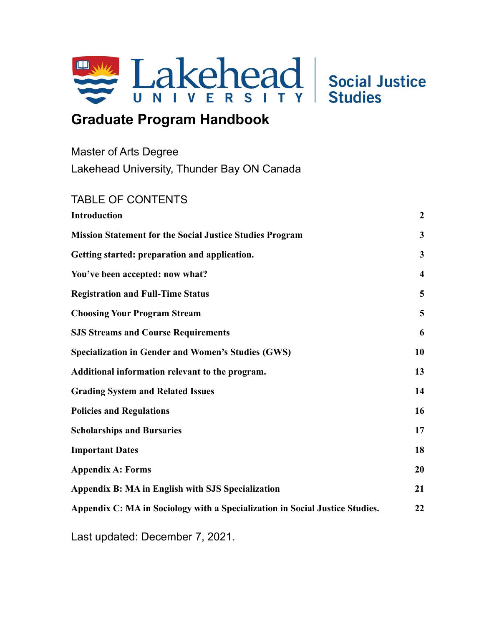

# **Graduate Program Handbook**

| Master of Arts Degree                      |
|--------------------------------------------|
| Lakehead University, Thunder Bay ON Canada |

# TABLE OF CONTENTS **[Introduction](#page-1-0) [2](#page-1-0) [Mission Statement for the Social Justice Studies Program](#page-2-0) [3](#page-2-0) [Getting started: preparation and application.](#page-2-1) [3](#page-2-1) [You've been accepted: now what?](#page-3-0) [4](#page-3-0) [Registration and Full-Time Status](#page-4-0) [5](#page-4-0) [Choosing Your Program Stream](#page-5-0) [5](#page-5-0) [SJS Streams and Course Requirements](#page-5-1) [6](#page-5-1) [Specialization in Gender and Women's Studies](#page-9-0) (GWS) [10](#page-9-0) [Additional information relevant to the program.](#page-12-0) [13](#page-12-0) [Grading System and Related Issues](#page-14-0) [14](#page-14-0) [Policies and Regulations](#page-16-0) [16](#page-16-0) Scholarships and Bursaries 17 [Important Dates](#page-17-0) [18](#page-17-0) [Appendix A: Forms](#page-20-0) [20](#page-20-0) [Appendix B: MA in English with SJS Specialization](#page-21-0) [21](#page-21-0) [Appendix C: MA in Sociology with a Specialization in Social Justice Studies.](#page-22-0) [22](#page-22-0)**

Last updated: December 7, 2021.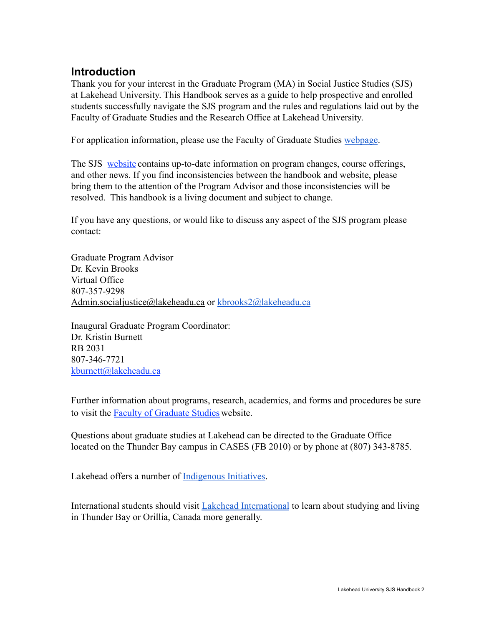## <span id="page-1-0"></span>**Introduction**

Thank you for your interest in the Graduate Program (MA) in Social Justice Studies (SJS) at Lakehead University. This Handbook serves as a guide to help prospective and enrolled students successfully navigate the SJS program and the rules and regulations laid out by the Faculty of Graduate Studies and the Research Office at Lakehead University.

For application information, please use the Faculty of Graduate Studies [webpage](https://www.lakeheadu.ca/programs/graduate/programs/masters/social-justice/node/30217).

The SJS [website](https://www.lakeheadu.ca/academics/departments/social-justice) contains up-to-date information on program changes, course offerings, and other news. If you find inconsistencies between the handbook and website, please bring them to the attention of the Program Advisor and those inconsistencies will be resolved. This handbook is a living document and subject to change.

If you have any questions, or would like to discuss any aspect of the SJS program please contact:

Graduate Program Advisor Dr. Kevin Brooks Virtual Office 807-357-9298 [Admin.socialjustice@lakeheadu.ca](mailto:Admin.socialjustice@lakeheadu.ca) or [kbrooks2@lakeheadu.ca](mailto:kbrooks2@lakeheadu.ca)

Inaugural Graduate Program Coordinator: Dr. Kristin Burnett RB 2031 807-346-7721 [kburnett@lakeheadu.ca](mailto:kburnett@lakeheadu.ca)

Further information about programs, research, academics, and forms and procedures be sure to visit the [Faculty of Graduate Studies](https://www.lakeheadu.ca/academics/graduate) website.

Questions about graduate studies at Lakehead can be directed to the Graduate Office located on the Thunder Bay campus in CASES (FB 2010) or by phone at (807) 343-8785.

Lakehead offers a number of [Indigenous Initiatives.](https://www.lakeheadu.ca/indigenous)

International students should visit [Lakehead International](https://www.lakeheadu.ca/international) to learn about studying and living in Thunder Bay or Orillia, Canada more generally.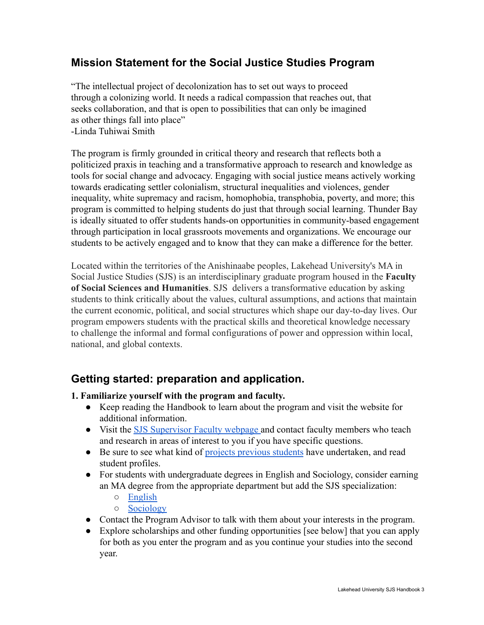# <span id="page-2-0"></span>**Mission Statement for the Social Justice Studies Program**

"The intellectual project of decolonization has to set out ways to proceed through a colonizing world. It needs a radical compassion that reaches out, that seeks collaboration, and that is open to possibilities that can only be imagined as other things fall into place"

-Linda Tuhiwai Smith

The program is firmly grounded in critical theory and research that reflects both a politicized praxis in teaching and a transformative approach to research and knowledge as tools for social change and advocacy. Engaging with social justice means actively working towards eradicating settler colonialism, structural inequalities and violences, gender inequality, white supremacy and racism, homophobia, transphobia, poverty, and more; this program is committed to helping students do just that through social learning. Thunder Bay is ideally situated to offer students hands-on opportunities in community-based engagement through participation in local grassroots movements and organizations. We encourage our students to be actively engaged and to know that they can make a difference for the better.

Located within the territories of the Anishinaabe peoples, Lakehead University's MA in Social Justice Studies (SJS) is an interdisciplinary graduate program housed in the **Faculty of Social Sciences and Humanities**. SJS delivers a transformative education by asking students to think critically about the values, cultural assumptions, and actions that maintain the current economic, political, and social structures which shape our day-to-day lives. Our program empowers students with the practical skills and theoretical knowledge necessary to challenge the informal and formal configurations of power and oppression within local, national, and global contexts.

# <span id="page-2-1"></span>**Getting started: preparation and application.**

#### **1. Familiarize yourself with the program and faculty.**

- Keep reading the Handbook to learn about the program and visit the website for additional information.
- Visit the **SJS** Supervisor Faculty webpage and contact faculty members who teach and research in areas of interest to you if you have specific questions.
- Be sure to see what kind of [projects previous students](https://www.lakeheadu.ca/programs/departments/social-justice/prospective-students/past-projects-and-courses) have undertaken, and read student profiles.
- For students with undergraduate degrees in English and Sociology, consider earning an MA degree from the appropriate department but add the SJS specialization:
	- [English](https://www.lakeheadu.ca/programs/departments/english/graduate-studies-english/graduate-program-description)
	- [Sociology](https://www.lakeheadu.ca/programs/graduate/programs/masters/sociology)
- Contact the Program Advisor to talk with them about your interests in the program.
- Explore scholarships and other funding opportunities [see below] that you can apply for both as you enter the program and as you continue your studies into the second year.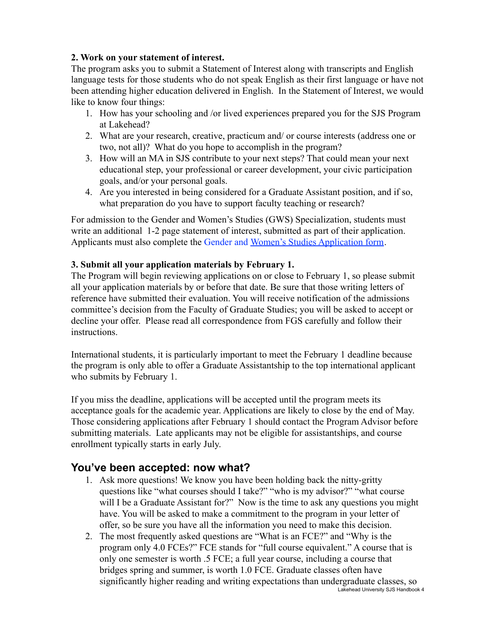#### **2. Work on your statement of interest.**

The program asks you to submit a Statement of Interest along with transcripts and English language tests for those students who do not speak English as their first language or have not been attending higher education delivered in English. In the Statement of Interest, we would like to know four things:

- 1. How has your schooling and /or lived experiences prepared you for the SJS Program at Lakehead?
- 2. What are your research, creative, practicum and/ or course interests (address one or two, not all)? What do you hope to accomplish in the program?
- 3. How will an MA in SJS contribute to your next steps? That could mean your next educational step, your professional or career development, your civic participation goals, and/or your personal goals.
- 4. Are you interested in being considered for a Graduate Assistant position, and if so, what preparation do you have to support faculty teaching or research?

For admission to the Gender and Women's Studies (GWS) Specialization, students must write an additional 1-2 page statement of interest, submitted as part of their application. Applicants must also complete the Gender and Women's [Studies Application form](https://www.lakeheadu.ca/sites/default/files/uploads/56/docs/Forms/Application-Master/Women%27s_Studies__Collaborative_%20Application_Form_2013.pdf).

#### **3. Submit all your application materials by February 1.**

The Program will begin reviewing applications on or close to February 1, so please submit all your application materials by or before that date. Be sure that those writing letters of reference have submitted their evaluation. You will receive notification of the admissions committee's decision from the Faculty of Graduate Studies; you will be asked to accept or decline your offer. Please read all correspondence from FGS carefully and follow their instructions.

International students, it is particularly important to meet the February 1 deadline because the program is only able to offer a Graduate Assistantship to the top international applicant who submits by February 1.

If you miss the deadline, applications will be accepted until the program meets its acceptance goals for the academic year. Applications are likely to close by the end of May. Those considering applications after February 1 should contact the Program Advisor before submitting materials. Late applicants may not be eligible for assistantships, and course enrollment typically starts in early July.

### <span id="page-3-0"></span>**You've been accepted: now what?**

- 1. Ask more questions! We know you have been holding back the nitty-gritty questions like "what courses should I take?" "who is my advisor?" "what course will I be a Graduate Assistant for?" Now is the time to ask any questions you might have. You will be asked to make a commitment to the program in your letter of offer, so be sure you have all the information you need to make this decision.
- 2. The most frequently asked questions are "What is an FCE?" and "Why is the program only 4.0 FCEs?" FCE stands for "full course equivalent." A course that is only one semester is worth .5 FCE; a full year course, including a course that bridges spring and summer, is worth 1.0 FCE. Graduate classes often have significantly higher reading and writing expectations than undergraduate classes, so Lakehead University SJS Handbook 4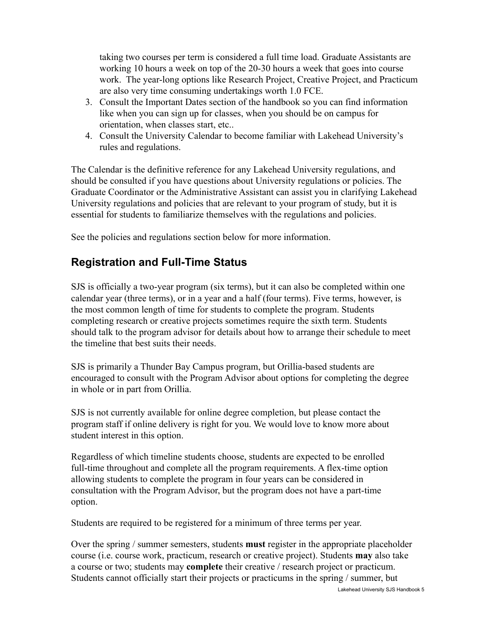taking two courses per term is considered a full time load. Graduate Assistants are working 10 hours a week on top of the 20-30 hours a week that goes into course work. The year-long options like Research Project, Creative Project, and Practicum are also very time consuming undertakings worth 1.0 FCE.

- 3. Consult the Important Dates section of the handbook so you can find information like when you can sign up for classes, when you should be on campus for orientation, when classes start, etc..
- 4. Consult the University Calendar to become familiar with Lakehead University's rules and regulations.

The Calendar is the definitive reference for any Lakehead University regulations, and should be consulted if you have questions about University regulations or policies. The Graduate Coordinator or the Administrative Assistant can assist you in clarifying Lakehead University regulations and policies that are relevant to your program of study, but it is essential for students to familiarize themselves with the regulations and policies.

See the policies and regulations section below for more information.

# <span id="page-4-0"></span>**Registration and Full-Time Status**

SJS is officially a two-year program (six terms), but it can also be completed within one calendar year (three terms), or in a year and a half (four terms). Five terms, however, is the most common length of time for students to complete the program. Students completing research or creative projects sometimes require the sixth term. Students should talk to the program advisor for details about how to arrange their schedule to meet the timeline that best suits their needs.

SJS is primarily a Thunder Bay Campus program, but Orillia-based students are encouraged to consult with the Program Advisor about options for completing the degree in whole or in part from Orillia.

SJS is not currently available for online degree completion, but please contact the program staff if online delivery is right for you. We would love to know more about student interest in this option.

Regardless of which timeline students choose, students are expected to be enrolled full-time throughout and complete all the program requirements. A flex-time option allowing students to complete the program in four years can be considered in consultation with the Program Advisor, but the program does not have a part-time option.

Students are required to be registered for a minimum of three terms per year.

Over the spring / summer semesters, students **must** register in the appropriate placeholder course (i.e. course work, practicum, research or creative project). Students **may** also take a course or two; students may **complete** their creative / research project or practicum. Students cannot officially start their projects or practicums in the spring / summer, but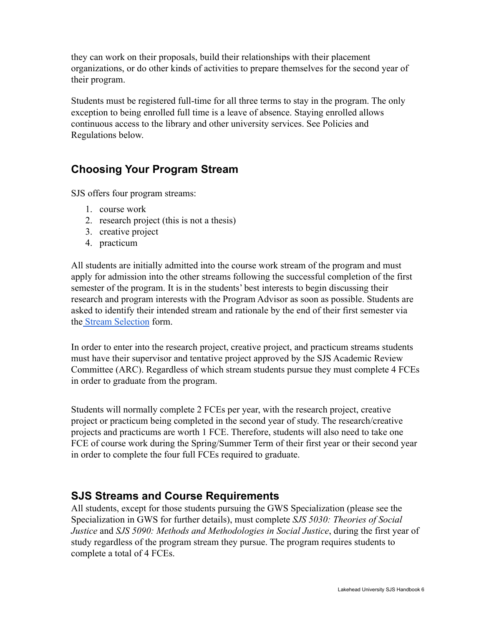they can work on their proposals, build their relationships with their placement organizations, or do other kinds of activities to prepare themselves for the second year of their program.

Students must be registered full-time for all three terms to stay in the program. The only exception to being enrolled full time is a leave of absence. Staying enrolled allows continuous access to the library and other university services. See Policies and Regulations below.

# <span id="page-5-0"></span>**Choosing Your Program Stream**

SJS offers four program streams:

- 1. course work
- 2. research project (this is not a thesis)
- 3. creative project
- 4. practicum

All students are initially admitted into the course work stream of the program and must apply for admission into the other streams following the successful completion of the first semester of the program. It is in the students' best interests to begin discussing their research and program interests with the Program Advisor as soon as possible. Students are asked to identify their intended stream and rationale by the end of their first semester via the [Stream Selection](https://docs.google.com/forms/d/1NtkVroS1QZzdF8A_xfBL3q_a-8pSRuRYfLylBh-qPIE/edit) form.

In order to enter into the research project, creative project, and practicum streams students must have their supervisor and tentative project approved by the SJS Academic Review Committee (ARC). Regardless of which stream students pursue they must complete 4 FCEs in order to graduate from the program.

Students will normally complete 2 FCEs per year, with the research project, creative project or practicum being completed in the second year of study. The research/creative projects and practicums are worth 1 FCE. Therefore, students will also need to take one FCE of course work during the Spring/Summer Term of their first year or their second year in order to complete the four full FCEs required to graduate.

### <span id="page-5-1"></span>**SJS Streams and Course Requirements**

All students, except for those students pursuing the GWS Specialization (please see the Specialization in GWS for further details), must complete *SJS 5030: Theories of Social Justice* and *SJS 5090: Methods and Methodologies in Social Justice*, during the first year of study regardless of the program stream they pursue. The program requires students to complete a total of 4 FCEs.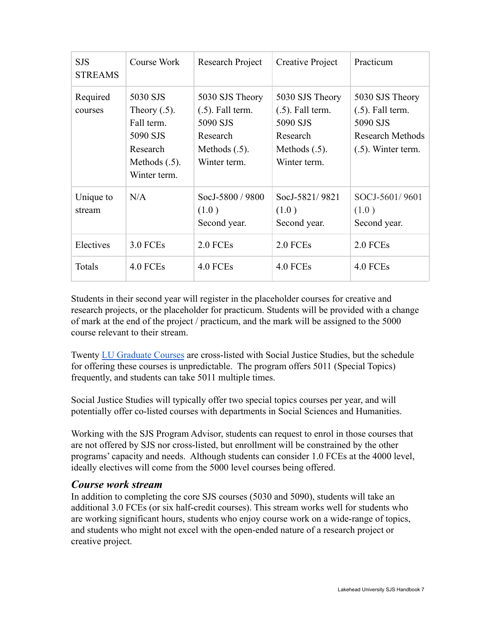| <b>SJS</b><br><b>STREAMS</b> | Course Work                                                                                           | Research Project                                                                                   | Creative Project                                                                                   | Practicum                                                                                              |
|------------------------------|-------------------------------------------------------------------------------------------------------|----------------------------------------------------------------------------------------------------|----------------------------------------------------------------------------------------------------|--------------------------------------------------------------------------------------------------------|
| Required<br>courses          | 5030 SJS<br>Theory $(.5)$ .<br>Fall term.<br>5090 SJS<br>Research<br>Methods $(.5)$ .<br>Winter term. | 5030 SJS Theory<br>$(.5)$ . Fall term.<br>5090 SJS<br>Research<br>Methods $(.5)$ .<br>Winter term. | 5030 SJS Theory<br>$(.5)$ . Fall term.<br>5090 SJS<br>Research<br>Methods $(.5)$ .<br>Winter term. | 5030 SJS Theory<br>$(.5)$ . Fall term.<br>5090 SJS<br><b>Research Methods</b><br>$(.5)$ . Winter term. |
| Unique to<br>stream          | N/A                                                                                                   | SocJ-5800 / 9800<br>(1.0)<br>Second year.                                                          | SocJ-5821/9821<br>(1.0)<br>Second year.                                                            | SOCJ-5601/9601<br>(1.0)<br>Second year.                                                                |
| Electives                    | <b>3.0 FCEs</b>                                                                                       | 2.0 FCEs                                                                                           | 2.0 FCEs                                                                                           | 2.0 FCEs                                                                                               |
| Totals                       | 4.0 FCEs                                                                                              | 4.0 FCEs                                                                                           | 4.0 FCEs                                                                                           | 4.0 FCEs                                                                                               |

Students in their second year will register in the placeholder courses for creative and research projects, or the placeholder for practicum. Students will be provided with a change of mark at the end of the project / practicum, and the mark will be assigned to the 5000 course relevant to their stream.

Twenty [LU Graduate Courses](http://csdc.lakeheadu.ca/Catalog/ViewCatalog.aspx?pageid=viewcatalog&catalogid=27&chapterid=7941&loaduseredits=True) are cross-listed with Social Justice Studies, but the schedule for offering these courses is unpredictable. The program offers 5011 (Special Topics) frequently, and students can take 5011 multiple times.

Social Justice Studies will typically offer two special topics courses per year, and will potentially offer co-listed courses with departments in Social Sciences and Humanities.

Working with the SJS Program Advisor, students can request to enrol in those courses that are not offered by SJS nor cross-listed, but enrollment will be constrained by the other programs' capacity and needs. Although students can consider 1.0 FCEs at the 4000 level, ideally electives will come from the 5000 level courses being offered.

#### *Course work stream*

In addition to completing the core SJS courses (5030 and 5090), students will take an additional 3.0 FCEs (or six half-credit courses). This stream works well for students who are working significant hours, students who enjoy course work on a wide-range of topics, and students who might not excel with the open-ended nature of a research project or creative project.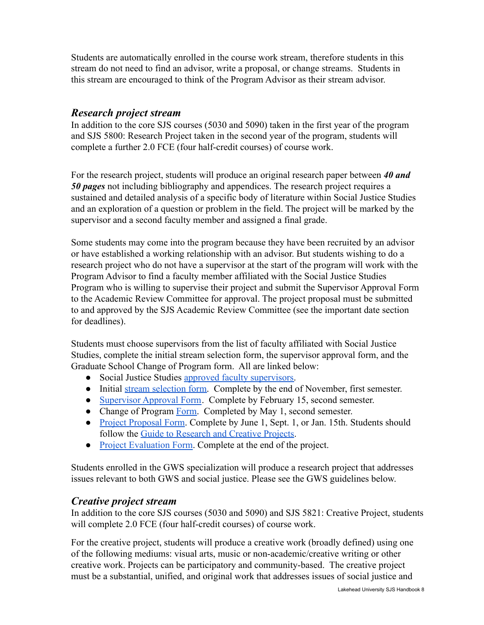Students are automatically enrolled in the course work stream, therefore students in this stream do not need to find an advisor, write a proposal, or change streams. Students in this stream are encouraged to think of the Program Advisor as their stream advisor.

#### *Research project stream*

In addition to the core SJS courses (5030 and 5090) taken in the first year of the program and SJS 5800: Research Project taken in the second year of the program, students will complete a further 2.0 FCE (four half-credit courses) of course work.

For the research project, students will produce an original research paper between *40 and 50 pages* not including bibliography and appendices. The research project requires a sustained and detailed analysis of a specific body of literature within Social Justice Studies and an exploration of a question or problem in the field. The project will be marked by the supervisor and a second faculty member and assigned a final grade.

Some students may come into the program because they have been recruited by an advisor or have established a working relationship with an advisor. But students wishing to do a research project who do not have a supervisor at the start of the program will work with the Program Advisor to find a faculty member affiliated with the Social Justice Studies Program who is willing to supervise their project and submit the Supervisor Approval Form to the Academic Review Committee for approval. The project proposal must be submitted to and approved by the SJS Academic Review Committee (see the important date section for deadlines).

Students must choose supervisors from the list of faculty affiliated with Social Justice Studies, complete the initial stream selection form, the supervisor approval form, and the Graduate School Change of Program form. All are linked below:

- Social Justice Studies [approved faculty supervisors.](https://www.lakeheadu.ca/programs/departments/social-justice/social-justice-supervisors)
- Initial [stream selection form.](https://docs.google.com/forms/d/1NtkVroS1QZzdF8A_xfBL3q_a-8pSRuRYfLylBh-qPIE/edit) Complete by the end of November, first semester.
- [Supervisor Approval Form](https://www.lakeheadu.ca/sites/default/files/uploads/2545/SupervisorApprovalForm%20.pdf). Complete by February 15, second semester.
- Change of Program [Form.](https://www.lakeheadu.ca/faculty-and-staff/forms-db/Enrolment-Services/node/10325) Completed by May 1, second semester.
- [Project Proposal Form.](https://www.lakeheadu.ca/sites/default/files/uploads/2545/ProposalProjectForm.pdf) Complete by June 1, Sept. 1, or Jan. 15th. Students should follow the [Guide to Research and Creative Projects](https://www.lakeheadu.ca/sites/default/files/uploads/2545/RCGuide2022.pdf).
- [Project Evaluation Form.](https://www.lakeheadu.ca/sites/default/files/uploads/2545/ProjectEvaluationForm.pdf) Complete at the end of the project.

Students enrolled in the GWS specialization will produce a research project that addresses issues relevant to both GWS and social justice. Please see the GWS guidelines below.

#### *Creative project stream*

In addition to the core SJS courses (5030 and 5090) and SJS 5821: Creative Project, students will complete 2.0 FCE (four half-credit courses) of course work.

For the creative project, students will produce a creative work (broadly defined) using one of the following mediums: visual arts, music or non-academic/creative writing or other creative work. Projects can be participatory and community-based. The creative project must be a substantial, unified, and original work that addresses issues of social justice and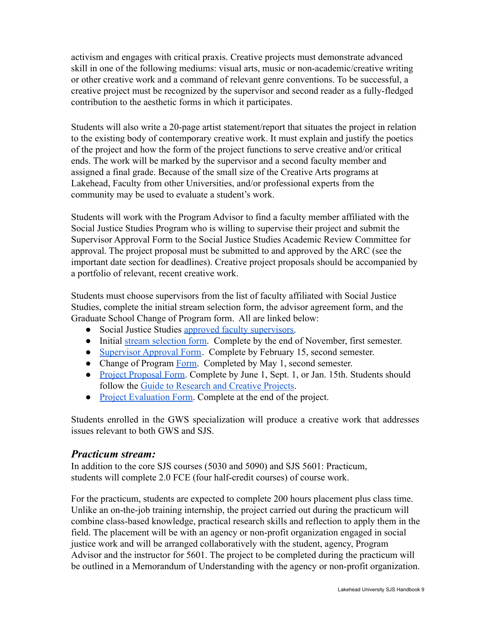activism and engages with critical praxis. Creative projects must demonstrate advanced skill in one of the following mediums: visual arts, music or non-academic/creative writing or other creative work and a command of relevant genre conventions. To be successful, a creative project must be recognized by the supervisor and second reader as a fully-fledged contribution to the aesthetic forms in which it participates.

Students will also write a 20-page artist statement/report that situates the project in relation to the existing body of contemporary creative work. It must explain and justify the poetics of the project and how the form of the project functions to serve creative and/or critical ends. The work will be marked by the supervisor and a second faculty member and assigned a final grade. Because of the small size of the Creative Arts programs at Lakehead, Faculty from other Universities, and/or professional experts from the community may be used to evaluate a student's work.

Students will work with the Program Advisor to find a faculty member affiliated with the Social Justice Studies Program who is willing to supervise their project and submit the Supervisor Approval Form to the Social Justice Studies Academic Review Committee for approval. The project proposal must be submitted to and approved by the ARC (see the important date section for deadlines). Creative project proposals should be accompanied by a portfolio of relevant, recent creative work.

Students must choose supervisors from the list of faculty affiliated with Social Justice Studies, complete the initial stream selection form, the advisor agreement form, and the Graduate School Change of Program form. All are linked below:

- Social Justice Studies [approved faculty supervisors.](https://www.lakeheadu.ca/programs/departments/social-justice/social-justice-supervisors)
- Initial [stream selection form.](https://docs.google.com/forms/d/1NtkVroS1QZzdF8A_xfBL3q_a-8pSRuRYfLylBh-qPIE/edit) Complete by the end of November, first semester.
- [Supervisor Approval Form](https://www.lakeheadu.ca/sites/default/files/uploads/2545/SupervisorApprovalForm%20.pdf). Complete by February 15, second semester.
- Change of Program [Form.](https://www.lakeheadu.ca/faculty-and-staff/forms-db/Enrolment-Services/node/10325) Completed by May 1, second semester.
- [Project Proposal Form.](https://www.lakeheadu.ca/sites/default/files/uploads/2545/ProposalProjectForm.pdf) Complete by June 1, Sept. 1, or Jan. 15th. Students should follow the [Guide to Research and Creative Projects](https://www.lakeheadu.ca/sites/default/files/uploads/2545/RCGuide2022.pdf).
- [Project Evaluation Form.](https://www.lakeheadu.ca/sites/default/files/uploads/2545/ProjectEvaluationForm.pdf) Complete at the end of the project.

Students enrolled in the GWS specialization will produce a creative work that addresses issues relevant to both GWS and SJS.

#### *Practicum stream:*

In addition to the core SJS courses (5030 and 5090) and SJS 5601: Practicum, students will complete 2.0 FCE (four half-credit courses) of course work.

For the practicum, students are expected to complete 200 hours placement plus class time. Unlike an on-the-job training internship, the project carried out during the practicum will combine class-based knowledge, practical research skills and reflection to apply them in the field. The placement will be with an agency or non-profit organization engaged in social justice work and will be arranged collaboratively with the student, agency, Program Advisor and the instructor for 5601. The project to be completed during the practicum will be outlined in a Memorandum of Understanding with the agency or non-profit organization.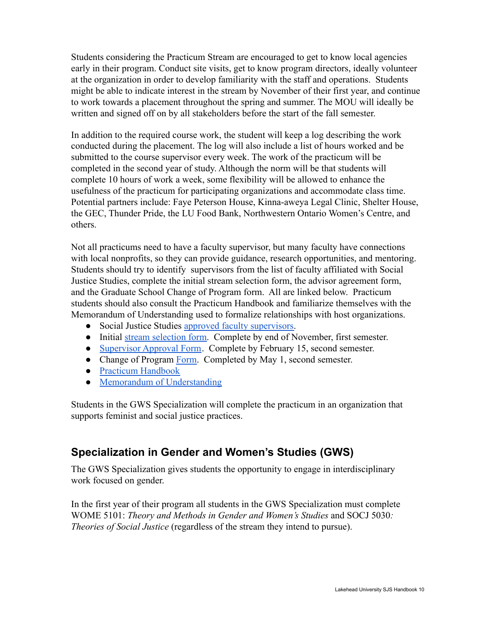Students considering the Practicum Stream are encouraged to get to know local agencies early in their program. Conduct site visits, get to know program directors, ideally volunteer at the organization in order to develop familiarity with the staff and operations. Students might be able to indicate interest in the stream by November of their first year, and continue to work towards a placement throughout the spring and summer. The MOU will ideally be written and signed off on by all stakeholders before the start of the fall semester.

In addition to the required course work, the student will keep a log describing the work conducted during the placement. The log will also include a list of hours worked and be submitted to the course supervisor every week. The work of the practicum will be completed in the second year of study. Although the norm will be that students will complete 10 hours of work a week, some flexibility will be allowed to enhance the usefulness of the practicum for participating organizations and accommodate class time. Potential partners include: Faye Peterson House, Kinna-aweya Legal Clinic, Shelter House, the GEC, Thunder Pride, the LU Food Bank, Northwestern Ontario Women's Centre, and others.

Not all practicums need to have a faculty supervisor, but many faculty have connections with local nonprofits, so they can provide guidance, research opportunities, and mentoring. Students should try to identify supervisors from the list of faculty affiliated with Social Justice Studies, complete the initial stream selection form, the advisor agreement form, and the Graduate School Change of Program form. All are linked below. Practicum students should also consult the Practicum Handbook and familiarize themselves with the Memorandum of Understanding used to formalize relationships with host organizations.

- Social Justice Studies [approved faculty supervisors.](https://www.lakeheadu.ca/programs/departments/social-justice/social-justice-supervisors)
- Initial [stream selection form.](https://docs.google.com/forms/d/1NtkVroS1QZzdF8A_xfBL3q_a-8pSRuRYfLylBh-qPIE/edit) Complete by end of November, first semester.
- [Supervisor Approval Form](https://www.lakeheadu.ca/sites/default/files/uploads/2545/SupervisorApprovalForm%20.pdf). Complete by February 15, second semester.
- Change of Program [Form.](https://www.lakeheadu.ca/faculty-and-staff/forms-db/Enrolment-Services/node/10325) Completed by May 1, second semester.
- [Practicum Handbook](https://docs.google.com/document/d/1nTo8CLkmhqi1A8r_RT6XAy-uxUK2CSjSlvE8gbF8FCI/edit)
- [Memorandum of Understanding](https://docs.google.com/document/d/1NA7ucuN5d18SLADoiCAr7Zdn_MFrlBpLqnPzCzqJ5E4/edit#heading=h.gjdgxs)

Students in the GWS Specialization will complete the practicum in an organization that supports feminist and social justice practices.

# <span id="page-9-0"></span>**Specialization in Gender and Women's Studies (GWS)**

The GWS Specialization gives students the opportunity to engage in interdisciplinary work focused on gender.

In the first year of their program all students in the GWS Specialization must complete WOME 5101: *Theory and Methods in Gender and Women's Studies* and SOCJ 5030*: Theories of Social Justice* (regardless of the stream they intend to pursue).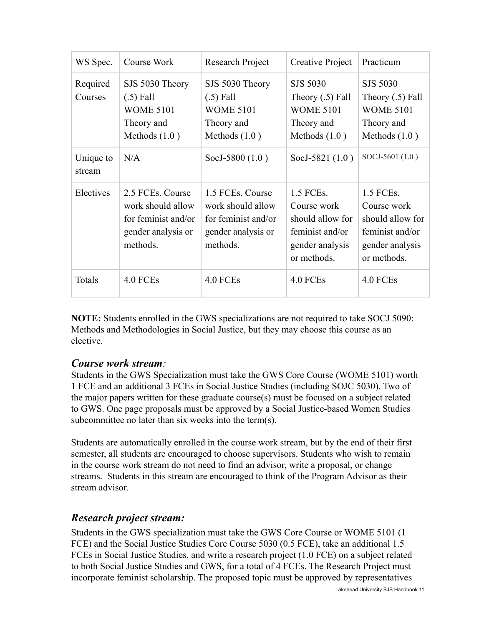| WS Spec.            | Course Work                                                                                    | Research Project                                                                               | Creative Project                                                                                  | Practicum                                                                                         |
|---------------------|------------------------------------------------------------------------------------------------|------------------------------------------------------------------------------------------------|---------------------------------------------------------------------------------------------------|---------------------------------------------------------------------------------------------------|
| Required<br>Courses | SJS 5030 Theory<br>$(.5)$ Fall<br><b>WOME 5101</b><br>Theory and<br>Methods $(1.0)$            | SJS 5030 Theory<br>$(.5)$ Fall<br><b>WOME 5101</b><br>Theory and<br>Methods $(1.0)$            | SJS 5030<br>Theory $(.5)$ Fall<br><b>WOME 5101</b><br>Theory and<br>Methods $(1.0)$               | <b>SJS 5030</b><br>Theory $(.5)$ Fall<br><b>WOME 5101</b><br>Theory and<br>Methods $(1.0)$        |
| Unique to<br>stream | N/A                                                                                            | SocJ-5800 (1.0)                                                                                | SocJ-5821 (1.0)                                                                                   | SOCJ-5601 (1.0)                                                                                   |
| Electives           | 2.5 FCEs. Course<br>work should allow<br>for feminist and/or<br>gender analysis or<br>methods. | 1.5 FCEs. Course<br>work should allow<br>for feminist and/or<br>gender analysis or<br>methods. | 1.5 FCEs.<br>Course work<br>should allow for<br>feminist and/or<br>gender analysis<br>or methods. | 1.5 FCEs.<br>Course work<br>should allow for<br>feminist and/or<br>gender analysis<br>or methods. |
| Totals              | 4.0 FCEs                                                                                       | 4.0 FCEs                                                                                       | 4.0 FCEs                                                                                          | 4.0 FCEs                                                                                          |

**NOTE:** Students enrolled in the GWS specializations are not required to take SOCJ 5090: Methods and Methodologies in Social Justice, but they may choose this course as an elective.

#### *Course work stream:*

Students in the GWS Specialization must take the GWS Core Course (WOME 5101) worth 1 FCE and an additional 3 FCEs in Social Justice Studies (including SOJC 5030). Two of the major papers written for these graduate course(s) must be focused on a subject related to GWS. One page proposals must be approved by a Social Justice-based Women Studies subcommittee no later than six weeks into the term(s).

Students are automatically enrolled in the course work stream, but by the end of their first semester, all students are encouraged to choose supervisors. Students who wish to remain in the course work stream do not need to find an advisor, write a proposal, or change streams. Students in this stream are encouraged to think of the Program Advisor as their stream advisor.

### *Research project stream:*

Students in the GWS specialization must take the GWS Core Course or WOME 5101 (1 FCE) and the Social Justice Studies Core Course 5030 (0.5 FCE), take an additional 1.5 FCEs in Social Justice Studies, and write a research project (1.0 FCE) on a subject related to both Social Justice Studies and GWS, for a total of 4 FCEs. The Research Project must incorporate feminist scholarship. The proposed topic must be approved by representatives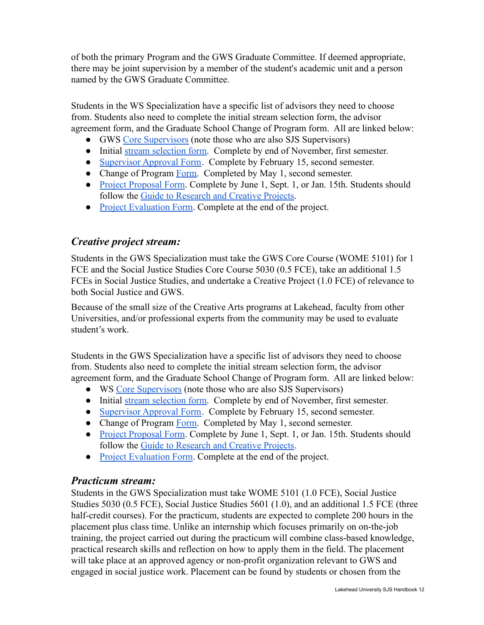of both the primary Program and the GWS Graduate Committee. If deemed appropriate, there may be joint supervision by a member of the student's academic unit and a person named by the GWS Graduate Committee.

Students in the WS Specialization have a specific list of advisors they need to choose from. Students also need to complete the initial stream selection form, the advisor agreement form, and the Graduate School Change of Program form. All are linked below:

- GWS [Core Supervisors](https://www.lakeheadu.ca/programs/departments/womensstudies/graduate-program/core-supervisory-graduate-faculty) (note those who are also SJS Supervisors)
- Initial [stream selection form.](https://docs.google.com/forms/d/1NtkVroS1QZzdF8A_xfBL3q_a-8pSRuRYfLylBh-qPIE/edit) Complete by end of November, first semester.
- [Supervisor Approval Form](https://www.lakeheadu.ca/sites/default/files/uploads/2545/SupervisorApprovalForm%20.pdf). Complete by February 15, second semester.
- Change of Program [Form.](https://www.lakeheadu.ca/faculty-and-staff/forms-db/Enrolment-Services/node/10325) Completed by May 1, second semester.
- [Project Proposal Form.](https://www.lakeheadu.ca/sites/default/files/uploads/2545/ProposalProjectForm.pdf) Complete by June 1, Sept. 1, or Jan. 15th. Students should follow the [Guide to Research and Creative Projects](https://www.lakeheadu.ca/sites/default/files/uploads/2545/RCGuide2022.pdf).
- [Project Evaluation Form.](https://www.lakeheadu.ca/sites/default/files/uploads/2545/ProjectEvaluationForm.pdf) Complete at the end of the project.

## *Creative project stream:*

Students in the GWS Specialization must take the GWS Core Course (WOME 5101) for 1 FCE and the Social Justice Studies Core Course 5030 (0.5 FCE), take an additional 1.5 FCEs in Social Justice Studies, and undertake a Creative Project (1.0 FCE) of relevance to both Social Justice and GWS.

Because of the small size of the Creative Arts programs at Lakehead, faculty from other Universities, and/or professional experts from the community may be used to evaluate student's work.

Students in the GWS Specialization have a specific list of advisors they need to choose from. Students also need to complete the initial stream selection form, the advisor agreement form, and the Graduate School Change of Program form. All are linked below:

- WS [Core Supervisors](https://www.lakeheadu.ca/programs/departments/womensstudies/graduate-program/core-supervisory-graduate-faculty) (note those who are also SJS Supervisors)
- Initial [stream selection form.](https://docs.google.com/forms/d/1NtkVroS1QZzdF8A_xfBL3q_a-8pSRuRYfLylBh-qPIE/edit) Complete by end of November, first semester.
- [Supervisor Approval Form](https://www.lakeheadu.ca/sites/default/files/uploads/2545/SupervisorApprovalForm%20.pdf). Complete by February 15, second semester.
- Change of Program [Form.](https://www.lakeheadu.ca/faculty-and-staff/forms-db/Enrolment-Services/node/10325) Completed by May 1, second semester.
- [Project Proposal Form.](https://www.lakeheadu.ca/sites/default/files/uploads/2545/ProposalProjectForm.pdf) Complete by June 1, Sept. 1, or Jan. 15th. Students should follow the [Guide to Research and Creative Projects](https://www.lakeheadu.ca/sites/default/files/uploads/2545/RCGuide2022.pdf).
- [Project Evaluation Form.](https://www.lakeheadu.ca/sites/default/files/uploads/2545/ProjectEvaluationForm.pdf) Complete at the end of the project.

### *Practicum stream:*

Students in the GWS Specialization must take WOME 5101 (1.0 FCE), Social Justice Studies 5030 (0.5 FCE), Social Justice Studies 5601 (1.0), and an additional 1.5 FCE (three half-credit courses). For the practicum, students are expected to complete 200 hours in the placement plus class time. Unlike an internship which focuses primarily on on-the-job training, the project carried out during the practicum will combine class-based knowledge, practical research skills and reflection on how to apply them in the field. The placement will take place at an approved agency or non-profit organization relevant to GWS and engaged in social justice work. Placement can be found by students or chosen from the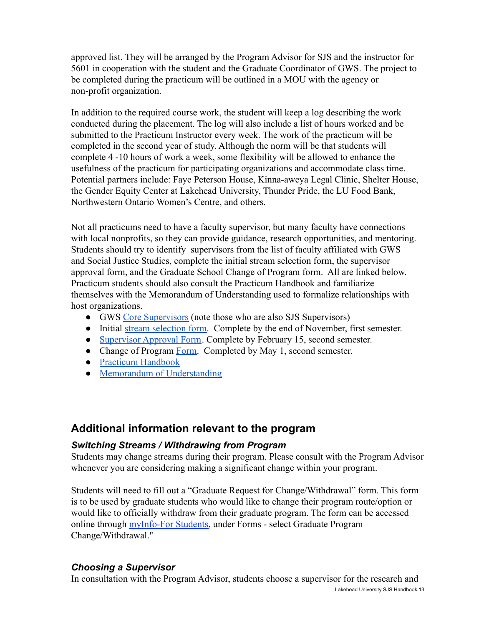approved list. They will be arranged by the Program Advisor for SJS and the instructor for 5601 in cooperation with the student and the Graduate Coordinator of GWS. The project to be completed during the practicum will be outlined in a MOU with the agency or non-profit organization.

In addition to the required course work, the student will keep a log describing the work conducted during the placement. The log will also include a list of hours worked and be submitted to the Practicum Instructor every week. The work of the practicum will be completed in the second year of study. Although the norm will be that students will complete 4 -10 hours of work a week, some flexibility will be allowed to enhance the usefulness of the practicum for participating organizations and accommodate class time. Potential partners include: Faye Peterson House, Kinna-aweya Legal Clinic, Shelter House, the Gender Equity Center at Lakehead University, Thunder Pride, the LU Food Bank, Northwestern Ontario Women's Centre, and others.

Not all practicums need to have a faculty supervisor, but many faculty have connections with local nonprofits, so they can provide guidance, research opportunities, and mentoring. Students should try to identify supervisors from the list of faculty affiliated with GWS and Social Justice Studies, complete the initial stream selection form, the supervisor approval form, and the Graduate School Change of Program form. All are linked below. Practicum students should also consult the Practicum Handbook and familiarize themselves with the Memorandum of Understanding used to formalize relationships with host organizations.

- GWS [Core Supervisors](https://www.lakeheadu.ca/programs/departments/womensstudies/graduate-program/core-supervisory-graduate-faculty) (note those who are also SJS Supervisors)
- Initial [stream selection form.](https://docs.google.com/forms/d/1NtkVroS1QZzdF8A_xfBL3q_a-8pSRuRYfLylBh-qPIE/edit) Complete by the end of November, first semester.
- [Supervisor Approval Form](https://www.lakeheadu.ca/sites/default/files/uploads/2545/SupervisorApprovalForm%20.pdf). Complete by February 15, second semester.
- Change of Program [Form.](https://www.lakeheadu.ca/faculty-and-staff/forms-db/Enrolment-Services/node/10325) Completed by May 1, second semester.
- [Practicum Handbook](https://docs.google.com/document/d/1nTo8CLkmhqi1A8r_RT6XAy-uxUK2CSjSlvE8gbF8FCI/edit)
- [Memorandum of Understanding](https://docs.google.com/document/d/1NA7ucuN5d18SLADoiCAr7Zdn_MFrlBpLqnPzCzqJ5E4/edit#heading=h.gjdgxs)

# <span id="page-12-0"></span>**Additional information relevant to the program**

#### *Switching Streams / Withdrawing from Program*

Students may change streams during their program. Please consult with the Program Advisor whenever you are considering making a significant change within your program.

Students will need to fill out a "Graduate Request for Change/Withdrawal" form. This form is to be used by graduate students who would like to change their program route/option or would like to officially withdraw from their graduate program. The form can be accessed online through **myInfo-For Students**, under Forms - select Graduate Program Change/Withdrawal."

#### *Choosing a Supervisor*

In consultation with the Program Advisor, students choose a supervisor for the research and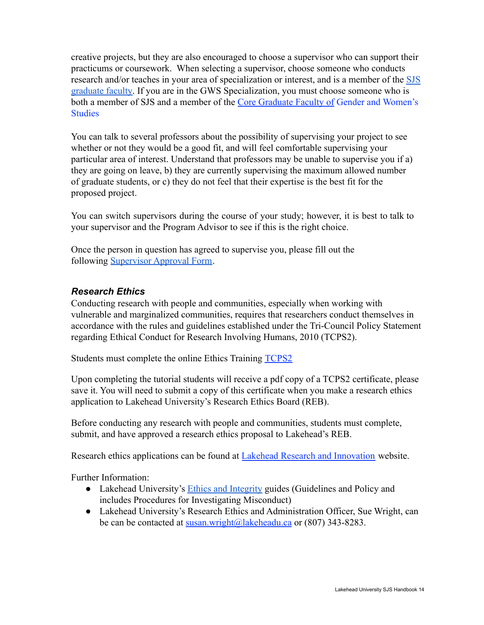creative projects, but they are also encouraged to choose a supervisor who can support their practicums or coursework. When selecting a supervisor, choose someone who conducts research and/or teaches in your area of specialization or interest, and is a member of the [SJS](https://www.lakeheadu.ca/programs/departments/social-justice/social-justice-supervisors) [graduate faculty.](https://www.lakeheadu.ca/programs/departments/social-justice/social-justice-supervisors) If you are in the GWS Specialization, you must choose someone who is both a member of SJS and a member of the Core Graduate Faculty of [Gender and Women's](https://www.lakeheadu.ca/academics/departments/womensstudies/graduate-program/core-supervisory-graduate-faculty) **[Studies](https://www.lakeheadu.ca/academics/departments/womensstudies/graduate-program/core-supervisory-graduate-faculty)** 

You can talk to several professors about the possibility of supervising your project to see whether or not they would be a good fit, and will feel comfortable supervising your particular area of interest. Understand that professors may be unable to supervise you if a) they are going on leave, b) they are currently supervising the maximum allowed number of graduate students, or c) they do not feel that their expertise is the best fit for the proposed project.

You can switch supervisors during the course of your study; however, it is best to talk to your supervisor and the Program Advisor to see if this is the right choice.

Once the person in question has agreed to supervise you, please fill out the following [Supervisor Approval Form.](https://www.lakeheadu.ca/sites/default/files/uploads/2545/SupervisorApprovalForm%20.pdf)

#### *Research Ethics*

Conducting research with people and communities, especially when working with vulnerable and marginalized communities, requires that researchers conduct themselves in accordance with the rules and guidelines established under the Tri-Council Policy Statement regarding Ethical Conduct for Research Involving Humans, 2010 (TCPS2).

Students must complete the online Ethics Training [TCPS2](http://tcps2core.ca/welcome)

Upon completing the tutorial students will receive a pdf copy of a TCPS2 certificate, please save it. You will need to submit a copy of this certificate when you make a research ethics application to Lakehead University's Research Ethics Board (REB).

Before conducting any research with people and communities, students must complete, submit, and have approved a research ethics proposal to Lakehead's REB.

Research ethics applications can be found at Lakehead [Research and Innovation](https://www.lakeheadu.ca/research-and-innovation/forms) website.

Further Information:

- Lakehead University's [Ethics and Integrity](https://www.lakeheadu.ca/research-and-innovation/ethics) guides (Guidelines and Policy and includes Procedures for Investigating Misconduct)
- Lakehead University's Research Ethics and Administration Officer, Sue Wright, can be can be contacted at [susan.wright@lakeheadu.ca](mailto:susan.wright@lakeheadu.ca) or (807) 343-8283.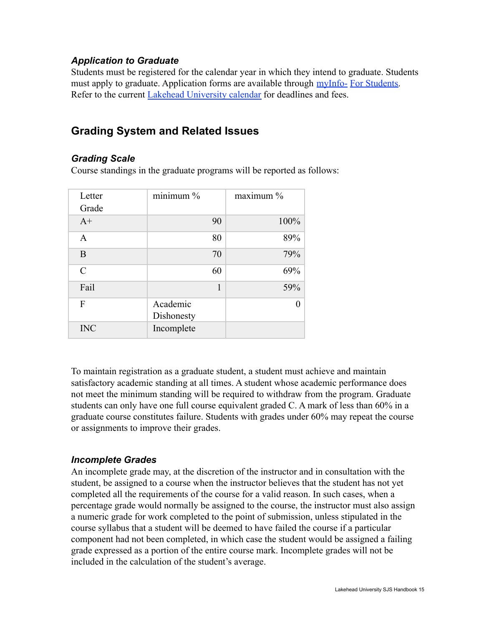#### *Application to Graduate*

Students must be registered for the calendar year in which they intend to graduate. Students must apply to graduate. Application forms are available through [myInfo-](https://erpwp.lakeheadu.ca/home/student) [For Students.](https://erpwp.lakeheadu.ca/home/student) Refer to the current [Lakehead University calendar](https://www.lakeheadu.ca/ql/dates) for deadlines and fees.

# <span id="page-14-0"></span>**Grading System and Related Issues**

#### *Grading Scale*

Course standings in the graduate programs will be reported as follows:

| Letter        | minimum %              | maximum % |
|---------------|------------------------|-----------|
| Grade         |                        |           |
| $A+$          | 90                     | 100%      |
| $\mathbf{A}$  | 80                     | 89%       |
| B             | 70                     | 79%       |
| $\mathcal{C}$ | 60                     | 69%       |
| Fail          | 1                      | 59%       |
| F             | Academic<br>Dishonesty |           |
| <b>INC</b>    | Incomplete             |           |

To maintain registration as a graduate student, a student must achieve and maintain satisfactory academic standing at all times. A student whose academic performance does not meet the minimum standing will be required to withdraw from the program. Graduate students can only have one full course equivalent graded C. A mark of less than 60% in a graduate course constitutes failure. Students with grades under 60% may repeat the course or assignments to improve their grades.

#### *Incomplete Grades*

An incomplete grade may, at the discretion of the instructor and in consultation with the student, be assigned to a course when the instructor believes that the student has not yet completed all the requirements of the course for a valid reason. In such cases, when a percentage grade would normally be assigned to the course, the instructor must also assign a numeric grade for work completed to the point of submission, unless stipulated in the course syllabus that a student will be deemed to have failed the course if a particular component had not been completed, in which case the student would be assigned a failing grade expressed as a portion of the entire course mark. Incomplete grades will not be included in the calculation of the student's average.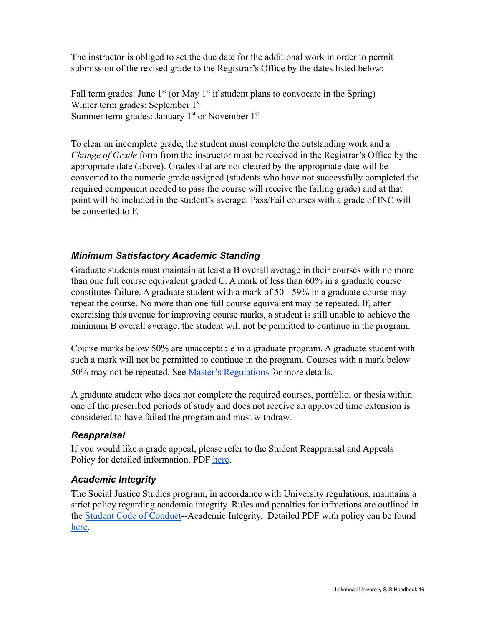The instructor is obliged to set the due date for the additional work in order to permit submission of the revised grade to the Registrar's Office by the dates listed below:

Fall term grades: June  $1<sup>st</sup>$  (or May  $1<sup>st</sup>$  if student plans to convocate in the Spring) Winter term grades: September 1<sup>s</sup> Summer term grades: January  $1<sup>st</sup>$  or November  $1<sup>st</sup>$ 

To clear an incomplete grade, the student must complete the outstanding work and a *Change of Grade* form from the instructor must be received in the Registrar's Office by the appropriate date (above). Grades that are not cleared by the appropriate date will be converted to the numeric grade assigned (students who have not successfully completed the required component needed to pass the course will receive the failing grade) and at that point will be included in the student's average. Pass/Fail courses with a grade of INC will be converted to F.

#### *Minimum Satisfactory Academic Standing*

Graduate students must maintain at least a B overall average in their courses with no more than one full course equivalent graded C. A mark of less than 60% in a graduate course constitutes failure. A graduate student with a mark of 50 - 59% in a graduate course may repeat the course. No more than one full course equivalent may be repeated. If, after exercising this avenue for improving course marks, a student is still unable to achieve the minimum B overall average, the student will not be permitted to continue in the program.

Course marks below 50% are unacceptable in a graduate program. A graduate student with such a mark will not be permitted to continue in the program. Courses with a mark below 50% may not be repeated. See [Master's Regulations](http://navigator.lakeheadu.ca/Catalog/ViewCatalog.aspx?pageid=viewcatalog&catalogid=23&chapterid=5208&topicgroupid=17123&loaduseredits=True) for more details.

A graduate student who does not complete the required courses, portfolio, or thesis within one of the prescribed periods of study and does not receive an approved time extension is considered to have failed the program and must withdraw.

#### *Reappraisal*

If you would like a grade appeal, please refer to the Student Reappraisal and Appeals Policy for detailed information. PDF [here.](https://www.lakeheadu.ca/sites/default/files/policies_procedures/Reappraisal%20and%20Academic%20Appeals.pdf)

#### *Academic Integrity*

The Social Justice Studies program, in accordance with University regulations, maintains a strict policy regarding academic integrity. Rules and penalties for infractions are outlined in the [Student Code of Conduct](https://www.lakeheadu.ca/students/student-life/student-conduct/academic-integrity)--Academic Integrity. Detailed PDF with policy can be found [here.](https://www.lakeheadu.ca/sites/default/files/policies_procedures/Student%20Code%20of%20Conduct%20-%20Academic%20Integrity.pdf)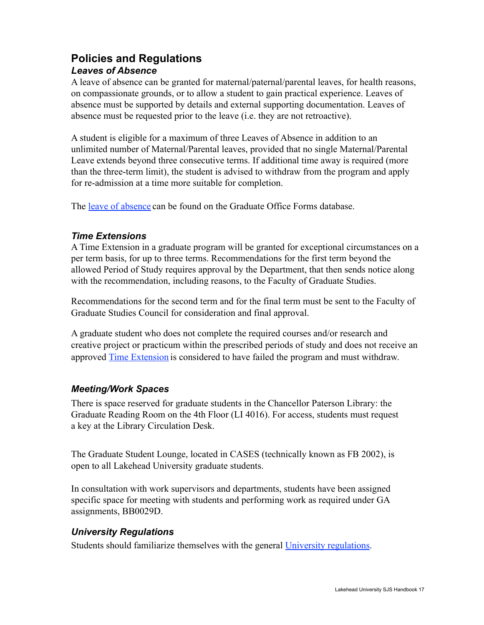# <span id="page-16-0"></span>**Policies and Regulations** *Leaves of Absence*

A leave of absence can be granted for maternal/paternal/parental leaves, for health reasons, on compassionate grounds, or to allow a student to gain practical experience. Leaves of absence must be supported by details and external supporting documentation. Leaves of absence must be requested prior to the leave (i.e. they are not retroactive).

A student is eligible for a maximum of three Leaves of Absence in addition to an unlimited number of Maternal/Parental leaves, provided that no single Maternal/Parental Leave extends beyond three consecutive terms. If additional time away is required (more than the three-term limit), the student is advised to withdraw from the program and apply for re-admission at a time more suitable for completion.

The [leave of absence](https://www.lakeheadu.ca/faculty-and-staff/forms-db/graduate-office/node/10327) can be found on the Graduate Office Forms database.

#### *Time Extensions*

A Time Extension in a graduate program will be granted for exceptional circumstances on a per term basis, for up to three terms. Recommendations for the first term beyond the allowed Period of Study requires approval by the Department, that then sends notice along with the recommendation, including reasons, to the Faculty of Graduate Studies.

Recommendations for the second term and for the final term must be sent to the Faculty of Graduate Studies Council for consideration and final approval.

A graduate student who does not complete the required courses and/or research and creative project or practicum within the prescribed periods of study and does not receive an approved [Time Extension](https://www.lakeheadu.ca/academics/graduate/resources/time-extension) is considered to have failed the program and must withdraw.

### *Meeting/Work Spaces*

There is space reserved for graduate students in the Chancellor Paterson Library: the Graduate Reading Room on the 4th Floor (LI 4016). For access, students must request a key at the Library Circulation Desk.

The Graduate Student Lounge, located in CASES (technically known as FB 2002), is open to all Lakehead University graduate students.

In consultation with work supervisors and departments, students have been assigned specific space for meeting with students and performing work as required under GA assignments, BB0029D.

### *University Regulations*

Students should familiarize themselves with the general [University regulations.](https://www.lakeheadu.ca/academics/graduate/regulations)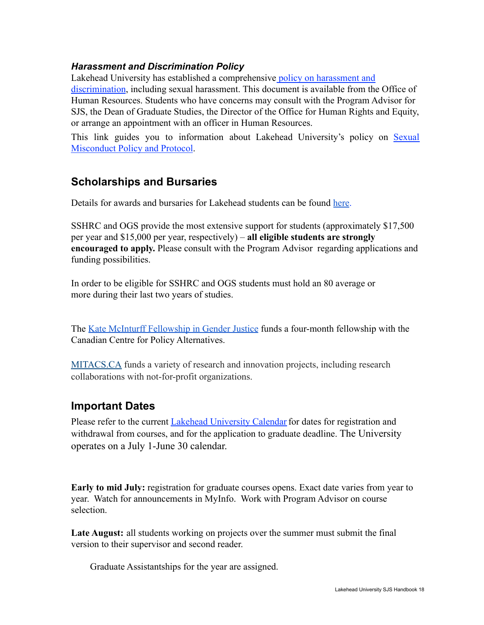#### *Harassment and Discrimination Policy*

Lakehead University has established a comprehensive [policy on harassment and](https://www.lakeheadu.ca/faculty-and-staff/policies/human-resources/harassment-and-discrimination-policy-and-procedures) [discrimination](https://www.lakeheadu.ca/faculty-and-staff/policies/human-resources/harassment-and-discrimination-policy-and-procedures), including sexual harassment. This document is available from the Office of Human Resources. Students who have concerns may consult with the Program Advisor for SJS, the Dean of Graduate Studies, the Director of the Office for Human Rights and Equity, or arrange an appointment with an officer in Human Resources.

This link guides you to information about Lakehead University's policy on [Sexual](https://www.lakeheadu.ca/faculty-and-staff/policies/general/sexual-misconduct-policy-and-protocol) [Misconduct Policy and Protocol](https://www.lakeheadu.ca/faculty-and-staff/policies/general/sexual-misconduct-policy-and-protocol).

# **Scholarships and Bursaries**

Details for awards and bursaries for Lakehead students can be found [here](https://www.lakeheadu.ca/academics/graduate/graduate-funding/internal-scholarships-bursaries-and-awards).

SSHRC and OGS provide the most extensive support for students (approximately \$17,500 per year and \$15,000 per year, respectively) – **all eligible students are strongly encouraged to apply.** Please consult with the Program Advisor regarding applications and funding possibilities.

In order to be eligible for SSHRC and OGS students must hold an 80 average or more during their last two years of studies.

The [Kate McInturff Fellowship in Gender Justice](https://www.policyalternatives.ca/kate-mcinturff-fellowship-fund) funds a four-month fellowship with the Canadian Centre for Policy Alternatives.

[MITACS.CA](http://www.mitacs.ca/) funds a variety of research and innovation projects, including research collaborations with not-for-profit organizations.

### <span id="page-17-0"></span>**Important Dates**

Please refer to the current [Lakehead University Calendar](http://navigator.lakeheadu.ca/%7E/Catalog/ViewCatalog.aspx?pageid=viewcatalog&catalogid=23&topicgroupid=16979) for dates for registration and withdrawal from courses, and for the application to graduate deadline. The University operates on a July 1-June 30 calendar.

**Early to mid July:** registration for graduate courses opens. Exact date varies from year to year. Watch for announcements in MyInfo. Work with Program Advisor on course selection.

**Late August:** all students working on projects over the summer must submit the final version to their supervisor and second reader.

Graduate Assistantships for the year are assigned.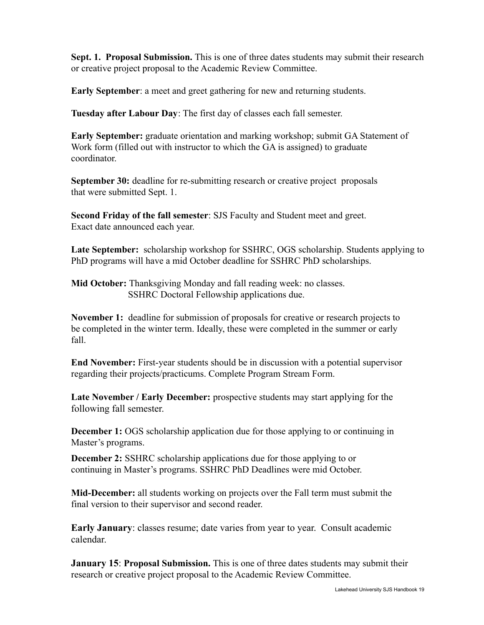**Sept. 1. Proposal Submission.** This is one of three dates students may submit their research or creative project proposal to the Academic Review Committee.

**Early September**: a meet and greet gathering for new and returning students.

**Tuesday after Labour Day**: The first day of classes each fall semester.

**Early September:** graduate orientation and marking workshop; submit GA Statement of Work form (filled out with instructor to which the GA is assigned) to graduate coordinator.

**September 30:** deadline for re-submitting research or creative project proposals that were submitted Sept. 1.

**Second Friday of the fall semester**: SJS Faculty and Student meet and greet. Exact date announced each year.

**Late September:** scholarship workshop for SSHRC, OGS scholarship. Students applying to PhD programs will have a mid October deadline for SSHRC PhD scholarships.

**Mid October:** Thanksgiving Monday and fall reading week: no classes. SSHRC Doctoral Fellowship applications due.

**November 1:** deadline for submission of proposals for creative or research projects to be completed in the winter term. Ideally, these were completed in the summer or early fall.

**End November:** First-year students should be in discussion with a potential supervisor regarding their projects/practicums. Complete Program Stream Form.

**Late November / Early December:** prospective students may start applying for the following fall semester.

**December 1:** OGS scholarship application due for those applying to or continuing in Master's programs.

**December 2:** SSHRC scholarship applications due for those applying to or continuing in Master's programs. SSHRC PhD Deadlines were mid October.

**Mid-December:** all students working on projects over the Fall term must submit the final version to their supervisor and second reader.

**Early January**: classes resume; date varies from year to year. Consult academic calendar.

**January 15**: **Proposal Submission.** This is one of three dates students may submit their research or creative project proposal to the Academic Review Committee.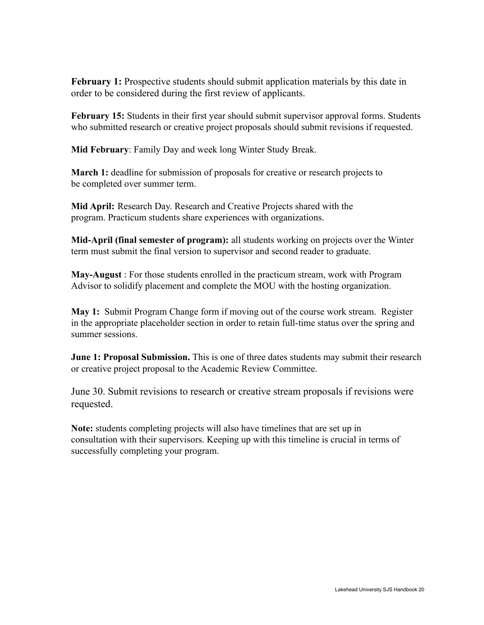**February 1:** Prospective students should submit application materials by this date in order to be considered during the first review of applicants.

**February 15:** Students in their first year should submit supervisor approval forms. Students who submitted research or creative project proposals should submit revisions if requested.

**Mid February**: Family Day and week long Winter Study Break.

**March 1:** deadline for submission of proposals for creative or research projects to be completed over summer term.

**Mid April:** Research Day. Research and Creative Projects shared with the program. Practicum students share experiences with organizations.

**Mid-April (final semester of program):** all students working on projects over the Winter term must submit the final version to supervisor and second reader to graduate.

**May-August** : For those students enrolled in the practicum stream, work with Program Advisor to solidify placement and complete the MOU with the hosting organization.

**May 1:** Submit Program Change form if moving out of the course work stream. Register in the appropriate placeholder section in order to retain full-time status over the spring and summer sessions.

**June 1: Proposal Submission.** This is one of three dates students may submit their research or creative project proposal to the Academic Review Committee.

June 30. Submit revisions to research or creative stream proposals if revisions were requested.

**Note:** students completing projects will also have timelines that are set up in consultation with their supervisors. Keeping up with this timeline is crucial in terms of successfully completing your program.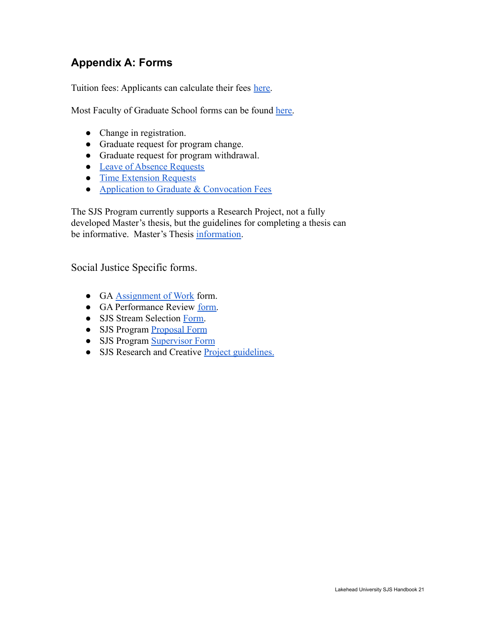# <span id="page-20-0"></span>**Appendix A: Forms**

Tuition fees: Applicants can calculate their fees [here.](https://www.lakeheadu.ca/students/finances/tuition-fees/fees/graduate)

Most Faculty of Graduate School forms can be found [here.](https://www.lakeheadu.ca/programs/graduate/academic-information/grad-forms)

- Change in registration.
- Graduate request for program change.
- Graduate request for program withdrawal.
- [Leave of Absence Requests](https://www.lakeheadu.ca/academics/graduate/resources/leave)
- **•** [Time Extension Requests](https://www.lakeheadu.ca/academics/graduate/resources/time-extension)
- [Application to Graduate & Convocation Fees](https://www.lakeheadu.ca/current-students/graduation)

The SJS Program currently supports a Research Project, not a fully developed Master's thesis, but the guidelines for completing a thesis can be informative. Master's Thesis [information](https://www.lakeheadu.ca/programs/graduate/academic-information/degree-completion/thesis).

Social Justice Specific forms.

- GA [Assignment of Work](https://www.lakeheadu.ca/sites/default/files/uploads/2545/GA%20Assignment%20of%20Work%20Form.pdf) form.
- GA Performance Review [form.](https://www.lakeheadu.ca/sites/default/files/uploads/2545/Graduate_Assistant_Employee_Performance_Review.pdf)
- SJS Stream Selection [Form.](https://docs.google.com/forms/d/1NtkVroS1QZzdF8A_xfBL3q_a-8pSRuRYfLylBh-qPIE/edit)
- SJS Program [Proposal Form](https://www.lakeheadu.ca/sites/default/files/uploads/2545/ProposalProjectForm.pdf)
- SJS Program [Supervisor Form](https://www.lakeheadu.ca/sites/default/files/uploads/2545/SupervisorApprovalForm%20.pdf)
- SJS Research and Creative [Project guidelines.](https://www.lakeheadu.ca/sites/default/files/uploads/2545/Research%20and%20Creative%20Project%20Guide2022.pdf)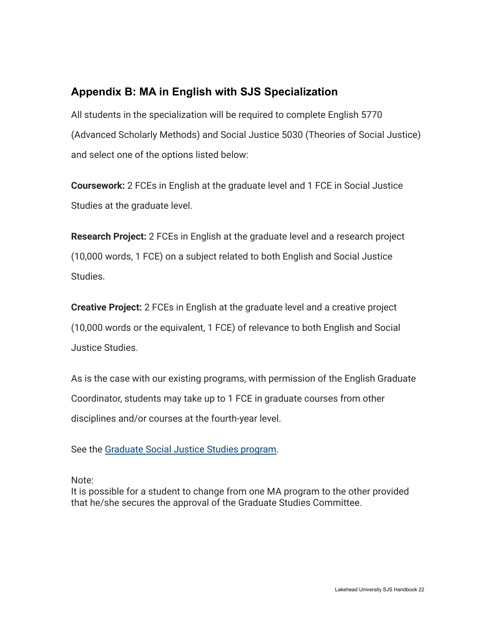# <span id="page-21-0"></span>**Appendix B: MA in English with SJS Specialization**

All students in the specialization will be required to complete English 5770 (Advanced Scholarly Methods) and Social Justice 5030 (Theories of Social Justice) and select one of the options listed below:

**Coursework:** 2 FCEs in English at the graduate level and 1 FCE in Social Justice Studies at the graduate level.

**Research Project:** 2 FCEs in English at the graduate level and a research project (10,000 words, 1 FCE) on a subject related to both English and Social Justice Studies.

**Creative Project:** 2 FCEs in English at the graduate level and a creative project (10,000 words or the equivalent, 1 FCE) of relevance to both English and Social Justice Studies.

As is the case with our existing programs, with permission of the English Graduate Coordinator, students may take up to 1 FCE in graduate courses from other disciplines and/or courses at the fourth-year level.

See the [Graduate Social Justice Studies program.](https://www.lakeheadu.ca/programs/graduate/programs/masters/social-justice/node/30217)

Note:

It is possible for a student to change from one MA program to the other provided that he/she secures the approval of the Graduate Studies Committee.